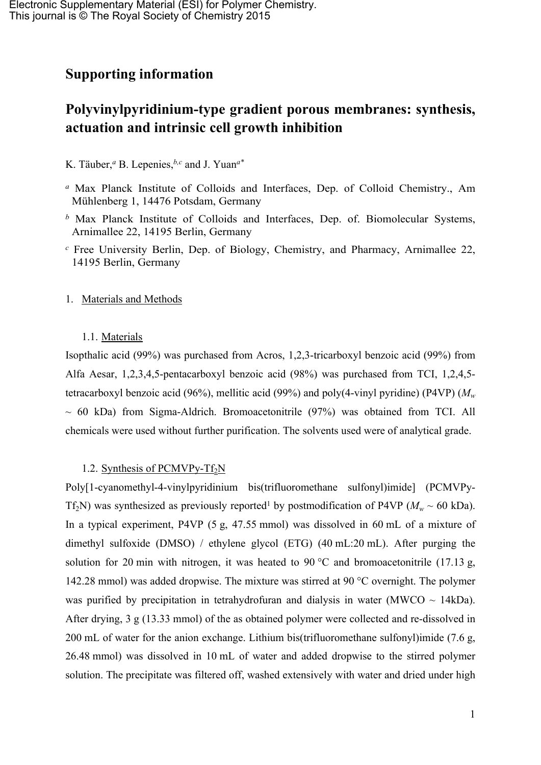## **Supporting information**

# **Polyvinylpyridinium-type gradient porous membranes: synthesis, actuation and intrinsic cell growth inhibition**

K. Täuber,*<sup>a</sup>* B. Lepenies,*b,c* and J. Yuan*a\**

- *<sup>a</sup>* Max Planck Institute of Colloids and Interfaces, Dep. of Colloid Chemistry., Am Mühlenberg 1, 14476 Potsdam, Germany
- *<sup>b</sup>* Max Planck Institute of Colloids and Interfaces, Dep. of. Biomolecular Systems, Arnimallee 22, 14195 Berlin, Germany
- *<sup>c</sup>* Free University Berlin, Dep. of Biology, Chemistry, and Pharmacy, Arnimallee 22, 14195 Berlin, Germany

### 1. Materials and Methods

#### 1.1. Materials

Isopthalic acid (99%) was purchased from Acros, 1,2,3-tricarboxyl benzoic acid (99%) from Alfa Aesar, 1,2,3,4,5-pentacarboxyl benzoic acid (98%) was purchased from TCI, 1,2,4,5 tetracarboxyl benzoic acid (96%), mellitic acid (99%) and poly(4-vinyl pyridine) (P4VP) (*M<sup>w</sup>*  $\sim$  60 kDa) from Sigma-Aldrich. Bromoacetonitrile (97%) was obtained from TCI. All chemicals were used without further purification. The solvents used were of analytical grade.

## 1.2. Synthesis of PCMVPy-T $f_2N$

Poly[1-cyanomethyl-4-vinylpyridinium bis(trifluoromethane sulfonyl)imide] (PCMVPy-Tf<sub>2</sub>N) was synthesized as previously reported<sup>[1](#page-5-0)</sup> by postmodification of P4VP ( $M_w \sim 60$  kDa). In a typical experiment, P4VP (5 g, 47.55 mmol) was dissolved in 60 mL of a mixture of dimethyl sulfoxide (DMSO) / ethylene glycol (ETG) (40 mL:20 mL). After purging the solution for 20 min with nitrogen, it was heated to 90 °C and bromoacetonitrile (17.13 g, 142.28 mmol) was added dropwise. The mixture was stirred at 90 °C overnight. The polymer was purified by precipitation in tetrahydrofuran and dialysis in water ( $MWCO \sim 14kDa$ ). After drying, 3 g (13.33 mmol) of the as obtained polymer were collected and re-dissolved in 200 mL of water for the anion exchange. Lithium bis(trifluoromethane sulfonyl)imide (7.6 g, 26.48 mmol) was dissolved in 10 mL of water and added dropwise to the stirred polymer solution. The precipitate was filtered off, washed extensively with water and dried under high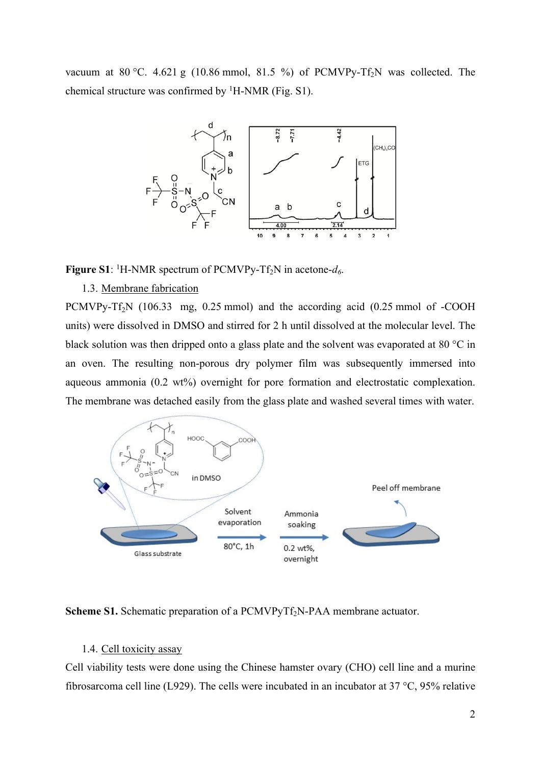vacuum at  $80^{\circ}$ C. 4.621 g (10.86 mmol, 81.5 %) of PCMVPy-Tf<sub>2</sub>N was collected. The chemical structure was confirmed by <sup>1</sup>H-NMR (Fig. S1).



**Figure S1**: <sup>1</sup>H-NMR spectrum of PCMVPy-Tf2N in acetone-*d6*.

#### 1.3. Membrane fabrication

PCMVPy-Tf<sub>2</sub>N (106.33 mg, 0.25 mmol) and the according acid (0.25 mmol of -COOH units) were dissolved in DMSO and stirred for 2 h until dissolved at the molecular level. The black solution was then dripped onto a glass plate and the solvent was evaporated at 80 °C in an oven. The resulting non-porous dry polymer film was subsequently immersed into aqueous ammonia (0.2 wt%) overnight for pore formation and electrostatic complexation. The membrane was detached easily from the glass plate and washed several times with water.



**Scheme S1.** Schematic preparation of a PCMVPyTf<sub>2</sub>N-PAA membrane actuator.

#### 1.4. Cell toxicity assay

Cell viability tests were done using the Chinese hamster ovary (CHO) cell line and a murine fibrosarcoma cell line (L929). The cells were incubated in an incubator at 37 °C, 95% relative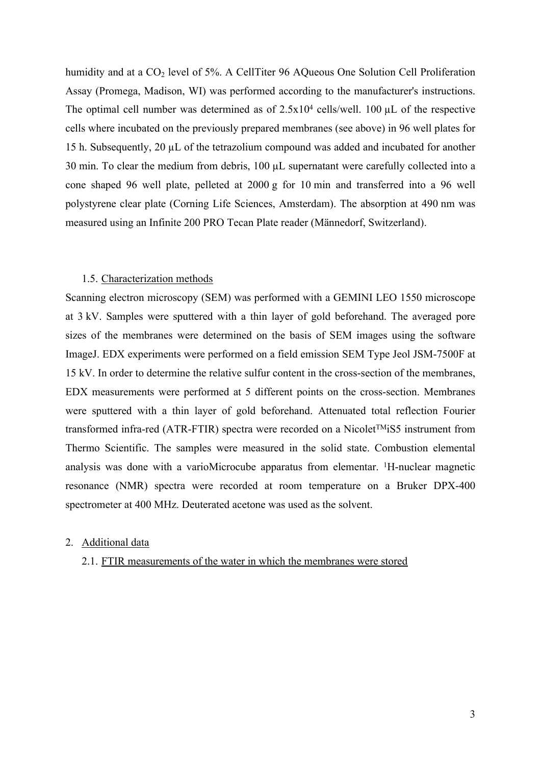humidity and at a  $CO<sub>2</sub>$  level of 5%. A CellTiter 96 AQueous One Solution Cell Proliferation Assay (Promega, Madison, WI) was performed according to the manufacturer's instructions. The optimal cell number was determined as of  $2.5x10^4$  cells/well. 100  $\mu$ L of the respective cells where incubated on the previously prepared membranes (see above) in 96 well plates for 15 h. Subsequently, 20 µL of the tetrazolium compound was added and incubated for another 30 min. To clear the medium from debris, 100 µL supernatant were carefully collected into a cone shaped 96 well plate, pelleted at 2000 g for 10 min and transferred into a 96 well polystyrene clear plate (Corning Life Sciences, Amsterdam). The absorption at 490 nm was measured using an Infinite 200 PRO Tecan Plate reader (Männedorf, Switzerland).

#### 1.5. Characterization methods

Scanning electron microscopy (SEM) was performed with a GEMINI LEO 1550 microscope at 3 kV. Samples were sputtered with a thin layer of gold beforehand. The averaged pore sizes of the membranes were determined on the basis of SEM images using the software ImageJ. EDX experiments were performed on a field emission SEM Type Jeol JSM-7500F at 15 kV. In order to determine the relative sulfur content in the cross-section of the membranes, EDX measurements were performed at 5 different points on the cross-section. Membranes were sputtered with a thin layer of gold beforehand. Attenuated total reflection Fourier transformed infra-red (ATR-FTIR) spectra were recorded on a Nicolet<sup>TM</sup>iS5 instrument from Thermo Scientific. The samples were measured in the solid state. Combustion elemental analysis was done with a varioMicrocube apparatus from elementar. <sup>1</sup>H-nuclear magnetic resonance (NMR) spectra were recorded at room temperature on a Bruker DPX-400 spectrometer at 400 MHz. Deuterated acetone was used as the solvent.

## 2. Additional data

#### 2.1. FTIR measurements of the water in which the membranes were stored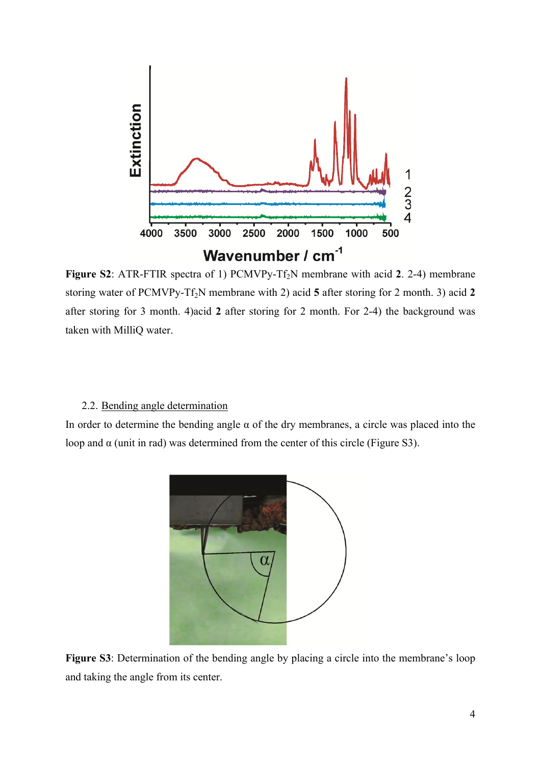

**Figure S2**: ATR-FTIR spectra of 1) PCMVPy-Tf<sub>2</sub>N membrane with acid 2. 2-4) membrane storing water of PCMVPy-Tf<sub>2</sub>N membrane with 2) acid 5 after storing for 2 month. 3) acid 2 after storing for 3 month. 4)acid **2** after storing for 2 month. For 2-4) the background was taken with MilliQ water.

### 2.2. Bending angle determination

In order to determine the bending angle  $\alpha$  of the dry membranes, a circle was placed into the loop and  $\alpha$  (unit in rad) was determined from the center of this circle (Figure S3).



**Figure S3**: Determination of the bending angle by placing a circle into the membrane's loop and taking the angle from its center.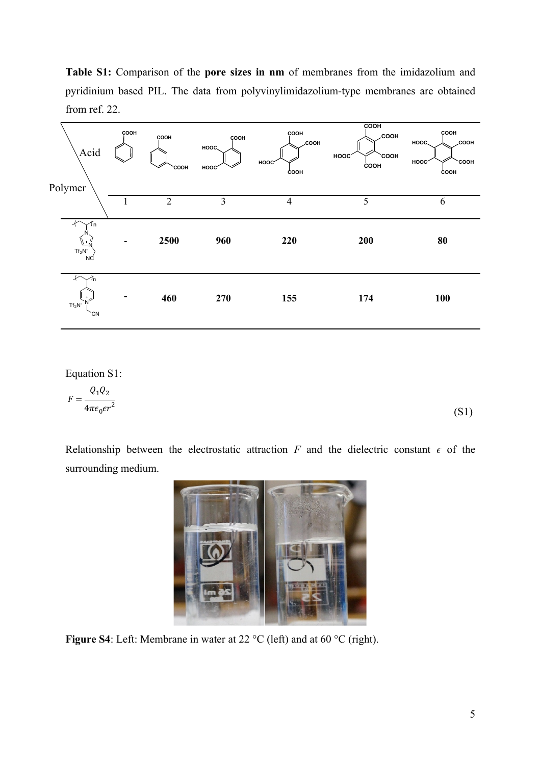**Table S1:** Comparison of the **pore sizes in nm** of membranes from the imidazolium and pyridinium based PIL. The data from polyvinylimidazolium-type membranes are obtained from ref. 22.



Equation S1:

$$
F = \frac{Q_1 Q_2}{4\pi\epsilon_0 \epsilon r^2} \tag{S1}
$$

Relationship between the electrostatic attraction  $F$  and the dielectric constant  $\epsilon$  of the surrounding medium.



**Figure S4**: Left: Membrane in water at 22 °C (left) and at 60 °C (right).